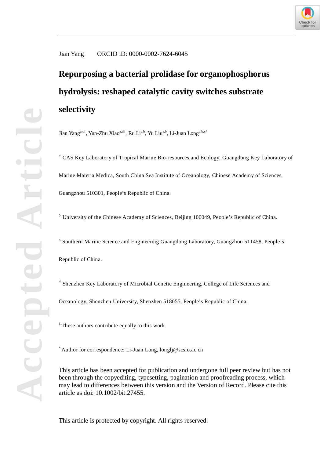

# Jian Yang ORCID iD: 0000-0002-7624-6045

# **Repurposing a bacterial prolidase for organophosphorus hydrolysis: reshaped catalytic cavity switches substrate selectivity**

Jian Yang<sup>a,c‡</sup>, Yun-Zhu Xiao<sup>a,d‡</sup>, Ru Li<sup>a,b</sup>, Yu Liu<sup>a,b</sup>, Li-Juan Long<sup>a,b,c\*</sup>

*a.* CAS Key Laboratory of Tropical Marine Bio-resources and Ecology, Guangdong Key Laboratory of Marine Materia Medica, South China Sea Institute of Oceanology, Chinese Academy of Sciences, Guangzhou 510301, People's Republic of China.

<sup>*b*.</sup> University of the Chinese Academy of Sciences, Beijing 100049, People's Republic of China.

*c.* Southern Marine Science and Engineering Guangdong Laboratory, Guangzhou 511458, People's Republic of China.

*d.* Shenzhen Key Laboratory of Microbial Genetic Engineering, College of Life Sciences and

Oceanology, Shenzhen University, Shenzhen 518055, People's Republic of China.

‡ These authors contribute equally to this work.

\* Author for correspondence: Li-Juan Long, longlj@scsio.ac.cn

This article has been accepted for publication and undergone full peer review but has not been through the copyediting, typesetting, pagination and proofreading process, which may lead to differences between this version and the Version of Record. Please cite this article as doi: 10.1002/bit.27455.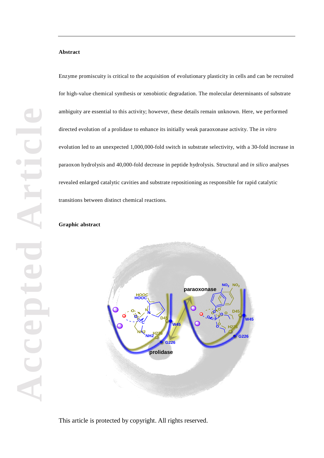## **Abstract**

Enzyme promiscuity is critical to the acquisition of evolutionary plasticity in cells and can be recruited for high-value chemical synthesis or xenobiotic degradation. The molecular determinants of substrate ambiguity are essential to this activity; however, these details remain unknown. Here, we performed directed evolution of a prolidase to enhance its initially weak paraoxonase activity. The *in vitro* evolution led to an unexpected 1,000,000-fold switch in substrate selectivity, with a 30-fold increase in paraoxon hydrolysis and 40,000-fold decrease in peptide hydrolysis. Structural and *in silico* analyses revealed enlarged catalytic cavities and substrate repositioning as responsible for rapid catalytic transitions between distinct chemical reactions.

# **Graphic abstract**

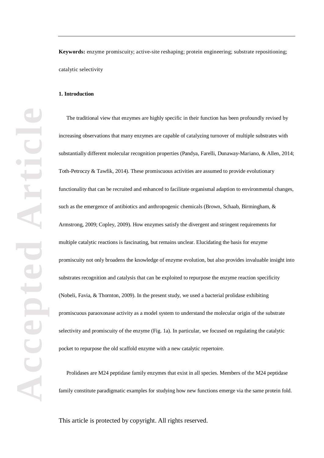**Keywords:** enzyme promiscuity; active-site reshaping; protein engineering; substrate repositioning; catalytic selectivity

# **1. Introduction**

The traditional view that enzymes are highly specific in their function has been profoundly revised by increasing observations that many enzymes are capable of catalyzing turnover of multiple substrates with substantially different molecular recognition properties (Pandya, Farelli, Dunaway-Mariano, & Allen, 2014; Toth-Petroczy & Tawfik, 2014). These promiscuous activities are assumed to provide evolutionary functionality that can be recruited and enhanced to facilitate organismal adaption to environmental changes, such as the emergence of antibiotics and anthropogenic chemicals (Brown, Schaab, Birmingham, & Armstrong, 2009; Copley, 2009). How enzymes satisfy the divergent and stringent requirements for multiple catalytic reactions is fascinating, but remains unclear. Elucidating the basis for enzyme promiscuity not only broadens the knowledge of enzyme evolution, but also provides invaluable insight into substrates recognition and catalysis that can be exploited to repurpose the enzyme reaction specificity (Nobeli, Favia, & Thornton, 2009). In the present study, we used a bacterial prolidase exhibiting promiscuous paraoxonase activity as a model system to understand the molecular origin of the substrate selectivity and promiscuity of the enzyme (Fig. 1a). In particular, we focused on regulating the catalytic pocket to repurpose the old scaffold enzyme with a new catalytic repertoire.

Prolidases are M24 peptidase family enzymes that exist in all species. Members of the M24 peptidase family constitute paradigmatic examples for studying how new functions emerge via the same protein fold.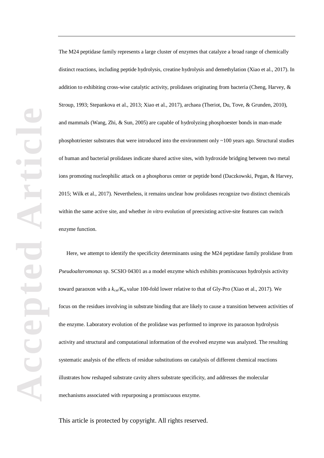The M24 peptidase family represents a large cluster of enzymes that catalyze a broad range of chemically distinct reactions, including peptide hydrolysis, creatine hydrolysis and demethylation (Xiao et al., 2017). In addition to exhibiting cross-wise catalytic activity, prolidases originating from bacteria (Cheng, Harvey, & Stroup, 1993; Stepankova et al., 2013; Xiao et al., 2017), archaea (Theriot, Du, Tove, & Grunden, 2010), and mammals (Wang, Zhi, & Sun, 2005) are capable of hydrolyzing phosphoester bonds in man-made phosphotriester substrates that were introduced into the environment only ~100 years ago. Structural studies of human and bacterial prolidases indicate shared active sites, with hydroxide bridging between two metal ions promoting nucleophilic attack on a phosphorus center or peptide bond (Daczkowski, Pegan, & Harvey, 2015; Wilk et al., 2017). Nevertheless, it remains unclear how prolidases recognize two distinct chemicals within the same active site, and whether *in vitro* evolution of preexisting active-site features can switch enzyme function.

Here, we attempt to identify the specificity determinants using the M24 peptidase family prolidase from *Pseudoalteromonas* sp. SCSIO 04301 as a model enzyme which exhibits promiscuous hydrolysis activity toward paraoxon with a  $k_{\text{car}}/K_{\text{m}}$  value 100-fold lower relative to that of Gly-Pro (Xiao et al., 2017). We focus on the residues involving in substrate binding that are likely to cause a transition between activities of the enzyme. Laboratory evolution of the prolidase was performed to improve its paraoxon hydrolysis activity and structural and computational information of the evolved enzyme was analyzed. The resulting systematic analysis of the effects of residue substitutions on catalysis of different chemical reactions illustrates how reshaped substrate cavity alters substrate specificity, and addresses the molecular mechanisms associated with repurposing a promiscuous enzyme.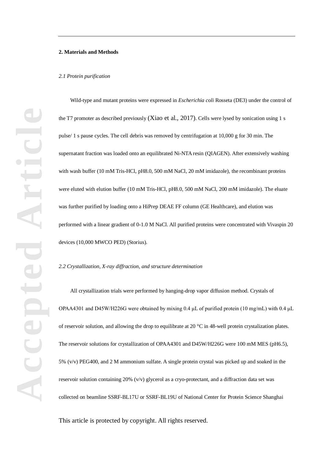## **2. Materials and Methods**

#### *2.1 Protein purification*

Wild-type and mutant proteins were expressed in *Escherichia coli* Rosseta (DE3) under the control of the T7 promoter as described previously (Xiao et al., 2017). Cells were lysed by sonication using 1 s pulse/ 1 s pause cycles. The cell debris was removed by centrifugation at 10,000 g for 30 min. The supernatant fraction was loaded onto an equilibrated Ni-NTA resin (QIAGEN). After extensively washing with wash buffer (10 mM Tris-HCl, pH8.0, 500 mM NaCl, 20 mM imidazole), the recombinant proteins were eluted with elution buffer (10 mM Tris-HCl, pH8.0, 500 mM NaCl, 200 mM imidazole). The eluate was further purified by loading onto a HiPrep DEAE FF column (GE Healthcare), and elution was performed with a linear gradient of 0-1.0 M NaCl. All purified proteins were concentrated with Vivaspin 20 devices (10,000 MWCO PED) (Storius).

#### *2.2 Crystallization, X-ray diffraction, and structure determination*

All crystallization trials were performed by hanging-drop vapor diffusion method. Crystals of OPAA4301 and D45W/H226G were obtained by mixing 0.4 μL of purified protein (10 mg/mL) with 0.4 μL of reservoir solution, and allowing the drop to equilibrate at 20 °C in 48-well protein crystalization plates. The reservoir solutions for crystallization of OPAA4301 and D45W/H226G were 100 mM MES (pH6.5), 5% (v/v) PEG400, and 2 M ammonium sulfate. A single protein crystal was picked up and soaked in the reservoir solution containing 20% (v/v) glycerol as a cryo-protectant, and a diffraction data set was collected on beamline SSRF-BL17U or SSRF-BL19U of National Center for Protein Science Shanghai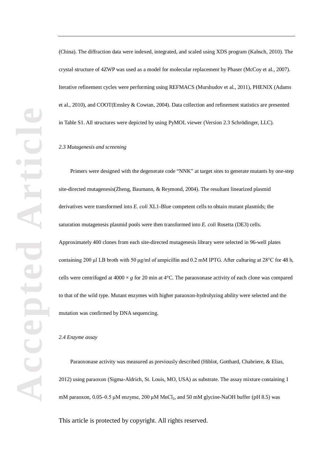(China). The diffraction data were indexed, integrated, and scaled using XDS program (Kabsch, 2010). The crystal structure of 4ZWP was used as a model for molecular replacement by Phaser (McCoy et al., 2007). Iterative refinement cycles were performing using REFMACS (Murshudov et al., 2011), PHENIX (Adams et al., 2010), and COOT(Emsley & Cowtan, 2004). Data collection and refinement statistics are presented in Table S1. All structures were depicted by using PyMOL viewer (Version 2.3 Schrödinger, LLC).

# *2.3 Mutagenesis and screening*

Primers were designed with the degenerate code "NNK" at target sites to generate mutants by one-step site-directed mutagenesis(Zheng, Baumann, & Reymond, 2004). The resultant linearized plasmid derivatives were transformed into *E. coli* XL1-Blue competent cells to obtain mutant plasmids; the saturation mutagenesis plasmid pools were then transformed into *E. coli* Rosetta (DE3) cells. Approximately 400 clones from each site-directed mutagenesis library were selected in 96-well plates containing 200 μl LB broth with 50 μg/ml of ampicillin and 0.2 mM IPTG. After culturing at 28°C for 48 h, cells were centrifuged at  $4000 \times g$  for 20 min at  $4^{\circ}$ C. The paraoxonase activity of each clone was compared to that of the wild type. Mutant enzymes with higher paraoxon-hydrolyzing ability were selected and the mutation was confirmed by DNA sequencing.

#### *2.4 Enzyme assay*

Paraoxonase activity was measured as previously described (Hiblot, Gotthard, Chabriere, & Elias, 2012) using paraoxon (Sigma-Aldrich, St. Louis, MO, USA) as substrate. The assay mixture containing 1 mM paraoxon,  $0.05-0.5 \mu$ M enzyme,  $200 \mu$ M MnCl<sub>2</sub>, and 50 mM glycine-NaOH buffer (pH 8.5) was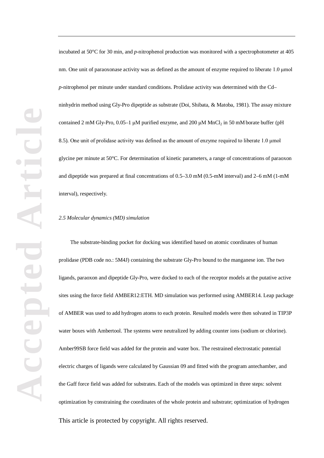incubated at 50°C for 30 min, and *p*-nitrophenol production was monitored with a spectrophotometer at 405 nm. One unit of paraoxonase activity was as defined as the amount of enzyme required to liberate 1.0 μmol *p*-nitrophenol per minute under standard conditions. Prolidase activity was determined with the Cd– ninhydrin method using Gly-Pro dipeptide as substrate (Doi, Shibata, & Matoba, 1981). The assay mixture contained 2 mM Gly-Pro,  $0.05-1$   $\mu$ M purified enzyme, and 200  $\mu$ M MnCl<sub>2</sub> in 50 mM borate buffer (pH 8.5). One unit of prolidase activity was defined as the amount of enzyme required to liberate 1.0 μmol glycine per minute at 50°C. For determination of kinetic parameters, a range of concentrations of paraoxon and dipeptide was prepared at final concentrations of 0.5–3.0 mM (0.5-mM interval) and 2–6 mM (1-mM interval), respectively.

#### *2.5 Molecular dynamics (MD) simulation*

The substrate-binding pocket for docking was identified based on atomic coordinates of human prolidase (PDB code no.: 5M4J) containing the substrate Gly-Pro bound to the manganese ion. The two ligands, paraoxon and dipeptide Gly-Pro, were docked to each of the receptor models at the putative active sites using the force field AMBER12:ETH. MD simulation was performed using AMBER14. Leap package of AMBER was used to add hydrogen atoms to each protein. Resulted models were then solvated in TIP3P water boxes with Ambertool. The systems were neutralized by adding counter ions (sodium or chlorine). Amber99SB force field was added for the protein and water box. The restrained electrostatic potential electric charges of ligands were calculated by Gaussian 09 and fitted with the program antechamber, and the Gaff force field was added for substrates. Each of the models was optimized in three steps: solvent optimization by constraining the coordinates of the whole protein and substrate; optimization of hydrogen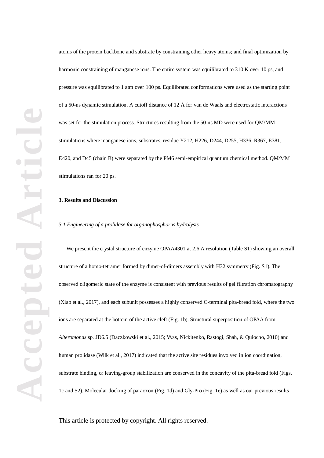atoms of the protein backbone and substrate by constraining other heavy atoms; and final optimization by harmonic constraining of manganese ions. The entire system was equilibrated to 310 K over 10 ps, and pressure was equilibrated to 1 atm over 100 ps. Equilibrated conformations were used as the starting point of a 50-ns dynamic stimulation. A cutoff distance of 12 Å for van de Waals and electrostatic interactions was set for the stimulation process. Structures resulting from the 50-ns MD were used for QM/MM stimulations where manganese ions, substrates, residue Y212, H226, D244, D255, H336, R367, E381, E420, and D45 (chain B) were separated by the PM6 semi-empirical quantum chemical method. QM/MM stimulations ran for 20 ps.

# **3. Results and Discussion**

# *3.1 Engineering of a prolidase for organophosphorus hydrolysis*

We present the crystal structure of enzyme OPAA4301 at 2.6 Å resolution (Table S1) showing an overall structure of a homo-tetramer formed by dimer-of-dimers assembly with H32 symmetry (Fig. S1). The observed oligomeric state of the enzyme is consistent with previous results of gel filtration chromatography (Xiao et al., 2017), and each subunit possesses a highly conserved C-terminal pita-bread fold, where the two ions are separated at the bottom of the active cleft (Fig. 1b). Structural superposition of OPAA from *Alteromonas* sp. JD6.5 (Daczkowski et al., 2015; Vyas, Nickitenko, Rastogi, Shah, & Quiocho, 2010) and human prolidase (Wilk et al., 2017) indicated that the active site residues involved in ion coordination, substrate binding, or leaving-group stabilization are conserved in the concavity of the pita-bread fold (Figs. 1c and S2). Molecular docking of paraoxon (Fig. 1d) and Gly-Pro (Fig. 1e) as well as our previous results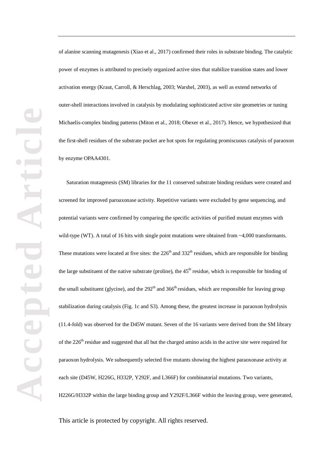of alanine scanning mutagenesis (Xiao et al., 2017) confirmed their roles in substrate binding. The catalytic power of enzymes is attributed to precisely organized active sites that stabilize transition states and lower activation energy (Kraut, Carroll, & Herschlag, 2003; Warshel, 2003), as well as extend networks of outer-shell interactions involved in catalysis by modulating sophisticated active site geometries or tuning Michaelis-complex binding patterns (Miton et al., 2018; Obexer et al., 2017). Hence, we hypothesized that the first-shell residues of the substrate pocket are hot spots for regulating promiscuous catalysis of paraoxon by enzyme OPAA4301.

Saturation mutagenesis (SM) libraries for the 11 conserved substrate binding residues were created and screened for improved paroaxonase activity. Repetitive variants were excluded by gene sequencing, and potential variants were confirmed by comparing the specific activities of purified mutant enzymes with wild-type (WT). A total of 16 hits with single point mutations were obtained from ~4,000 transformants. These mutations were located at five sites: the  $226<sup>th</sup>$  and  $332<sup>th</sup>$  residues, which are responsible for binding the large substituent of the native substrate (proline), the  $45<sup>th</sup>$  residue, which is responsible for binding of the small substituent (glycine), and the  $292<sup>th</sup>$  and  $366<sup>th</sup>$  residues, which are responsible for leaving group stabilization during catalysis (Fig. 1c and S3). Among these, the greatest increase in paraoxon hydrolysis (11.4-fold) was observed for the D45W mutant. Seven of the 16 variants were derived from the SM library of the 226<sup>th</sup> residue and suggested that all but the charged amino acids in the active site were required for paraoxon hydrolysis. We subsequently selected five mutants showing the highest paraoxonase activity at each site (D45W, H226G, H332P, Y292F, and L366F) for combinatorial mutations. Two variants, H226G/H332P within the large binding group and Y292F/L366F within the leaving group, were generated,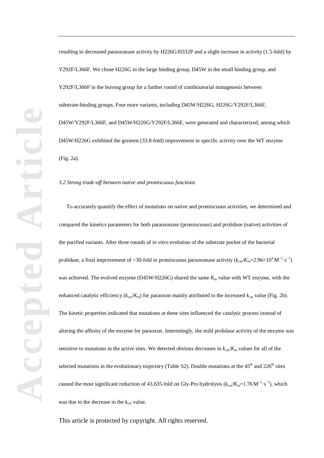resulting in decreased paraoxonase activity by H226G/H332P and a slight increase in activity (1.5-fold) by Y292F/L366F. We chose H226G in the large binding group, D45W in the small binding group, and Y292F/L366F in the leaving group for a further round of combinatorial mutagenesis between substrate-binding groups. Four more variants, including D45W/H226G, H226G/Y292F/L366F, D45W/Y292F/L366F, and D45W/H226G/Y292F/L366F, were generated and characterized, among which D45W/H226G exhibited the greatest (33.8-fold) improvement in specific activity over the WT enzyme (Fig. 2a).

# *3.2 Strong trade-off between native and promiscuous functions*

To accurately quantify the effect of mutations on native and promiscuous activities, we determined and compared the kinetics parameters for both paraoxonase (promiscuous) and prolidase (native) activities of the purified variants. After three rounds of *in vitro* evolution of the substrate pocket of the bacterial prolidase, a final improvement of ~30-fold in promiscuous paraoxonase activity  $(k_{cat}/K_m=2.96\times10^4 \,\mathrm{M}^{-1}\cdot\mathrm{s}^{-1})$ was achieved. The evolved enzyme (D45W/H226G) shared the same  $K<sub>m</sub>$  value with WT enzyme, with the enhanced catalytic efficiency ( $k_{\text{car}}/K_m$ ) for paraoxon mainly attributed to the increased  $k_{\text{cat}}$  value (Fig. 2b). The kinetic properties indicated that mutations at these sites influenced the catalytic process instead of altering the affinity of the enzyme for paraoxon. Interestingly, the mild prolidase activity of the enzyme was sensitive to mutations in the active sites. We detected obvious decreases in  $k_{\text{car}}/K_{\text{m}}$  values for all of the selected mutations in the evolutionary trajectory (Table S2). Double mutations at the  $45<sup>th</sup>$  and  $226<sup>th</sup>$  sites caused the most significant reduction of 43,635-fold on Gly-Pro hydrolysis ( $k_{\text{cat}}/K_{\text{m}}=1.76 \text{ M}^{-1} \cdot \text{s}^{-1}$ ), which was due to the decrease in the  $k_{cat}$  value.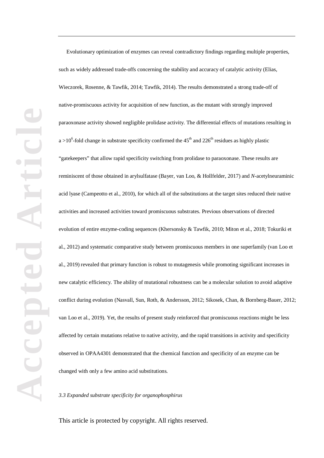Evolutionary optimization of enzymes can reveal contradictory findings regarding multiple properties, such as widely addressed trade-offs concerning the stability and accuracy of catalytic activity (Elias, Wieczorek, Rosenne, & Tawfik, 2014; Tawfik, 2014). The results demonstrated a strong trade-off of native-promiscuous activity for acquisition of new function, as the mutant with strongly improved paraoxonase activity showed negligible prolidase activity. The differential effects of mutations resulting in  $a > 10^6$ -fold change in substrate specificity confirmed the 45<sup>th</sup> and 226<sup>th</sup> residues as highly plastic "gatekeepers" that allow rapid specificity switching from prolidase to paraoxonase. These results are reminiscent of those obtained in arylsulfatase (Bayer, van Loo, & Hollfelder, 2017) and *N*-acetylneuraminic acid lyase (Campeotto et al., 2010), for which all of the substitutions at the target sites reduced their native activities and increased activities toward promiscuous substrates. Previous observations of directed evolution of entire enzyme-coding sequences (Khersonsky & Tawfik, 2010; Miton et al., 2018; Tokuriki et al., 2012) and systematic comparative study between promiscuous members in one superfamily (van Loo et al., 2019) revealed that primary function is robust to mutagenesis while promoting significant increases in new catalytic efficiency. The ability of mutational robustness can be a molecular solution to avoid adaptive conflict during evolution (Nasvall, Sun, Roth, & Andersson, 2012; Sikosek, Chan, & Bornberg-Bauer, 2012; van Loo et al., 2019). Yet, the results of present study reinforced that promiscuous reactions might be less affected by certain mutations relative to native activity, and the rapid transitions in activity and specificity observed in OPAA4301 demonstrated that the chemical function and specificity of an enzyme can be changed with only a few amino acid substitutions.

*3.3 Expanded substrate specificity for organophosphirus*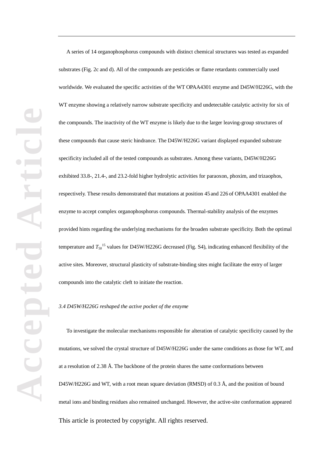A series of 14 organophosphorus compounds with distinct chemical structures was tested as expanded substrates (Fig. 2c and d). All of the compounds are pesticides or flame retardants commercially used worldwide. We evaluated the specific activities of the WT OPAA4301 enzyme and D45W/H226G, with the WT enzyme showing a relatively narrow substrate specificity and undetectable catalytic activity for six of the compounds. The inactivity of the WT enzyme is likely due to the larger leaving-group structures of these compounds that cause steric hindrance. The D45W/H226G variant displayed expanded substrate specificity included all of the tested compounds as substrates. Among these variants, D45W/H226G exhibited 33.8-, 21.4-, and 23.2-fold higher hydrolytic activities for paraoxon, phoxim, and trizaophos, respectively. These results demonstrated that mutations at position 45 and 226 of OPAA4301 enabled the enzyme to accept complex organophosphorus compounds. Thermal-stability analysis of the enzymes provided hints regarding the underlying mechanisms for the broaden substrate specificity. Both the optimal temperature and  $T_{50}^{15}$  values for D45W/H226G decreased (Fig. S4), indicating enhanced flexibility of the active sites. Moreover, structural plasticity of substrate-binding sites might facilitate the entry of larger compounds into the catalytic cleft to initiate the reaction.

*3.4 D45W/H226G reshaped the active pocket of the enzyme*

To investigate the molecular mechanisms responsible for alteration of catalytic specificity caused by the mutations, we solved the crystal structure of D45W/H226G under the same conditions as those for WT, and at a resolution of 2.38 Å. The backbone of the protein shares the same conformations between D45W/H226G and WT, with a root mean square deviation (RMSD) of 0.3 Å, and the position of bound metal ions and binding residues also remained unchanged. However, the active-site conformation appeared This article is protected by copyright. All rights reserved.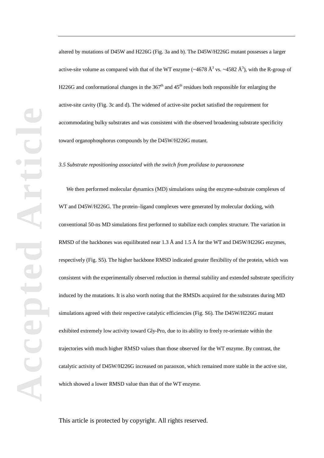altered by mutations of D45W and H226G (Fig. 3a and b). The D45W/H226G mutant possesses a larger active-site volume as compared with that of the WT enzyme ( $\sim$ 4678 Å<sup>3</sup> vs.  $\sim$ 4582 Å<sup>3</sup>), with the R-group of H226G and conformational changes in the  $367<sup>th</sup>$  and  $45<sup>th</sup>$  residues both responsible for enlarging the active-site cavity (Fig. 3c and d). The widened of active-site pocket satisfied the requirement for accommodating bulky substrates and was consistent with the observed broadening substrate specificity toward organophosphorus compounds by the D45W/H226G mutant.

*3.5 Substrate repositioning associated with the switch from prolidase to paraoxonase*

We then performed molecular dynamics (MD) simulations using the enzyme-substrate complexes of WT and D45W/H226G. The protein–ligand complexes were generated by molecular docking, with conventional 50-ns MD simulations first performed to stabilize each complex structure. The variation in RMSD of the backbones was equilibrated near 1.3 Å and 1.5 Å for the WT and D45W/H226G enzymes, respectively (Fig. S5). The higher backbone RMSD indicated greater flexibility of the protein, which was consistent with the experimentally observed reduction in thermal stability and extended substrate specificity induced by the mutations. It is also worth noting that the RMSDs acquired for the substrates during MD simulations agreed with their respective catalytic efficiencies (Fig. S6). The D45W/H226G mutant exhibited extremely low activity toward Gly-Pro, due to its ability to freely re-orientate within the trajectories with much higher RMSD values than those observed for the WT enzyme. By contrast, the catalytic activity of D45W/H226G increased on paraoxon, which remained more stable in the active site, which showed a lower RMSD value than that of the WT enzyme.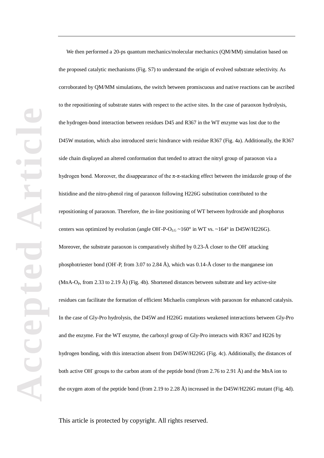We then performed a 20-ps quantum mechanics/molecular mechanics (QM/MM) simulation based on the proposed catalytic mechanisms (Fig. S7) to understand the origin of evolved substrate selectivity. As corroborated by QM/MM simulations, the switch between promiscuous and native reactions can be ascribed to the repositioning of substrate states with respect to the active sites. In the case of paraoxon hydrolysis, the hydrogen-bond interaction between residues D45 and R367 in the WT enzyme was lost due to the D45W mutation, which also introduced steric hindrance with residue R367 (Fig. 4a). Additionally, the R367 side chain displayed an altered conformation that tended to attract the nitryl group of paraoxon via a hydrogen bond. Moreover, the disappearance of the π-π-stacking effect between the imidazole group of the histidine and the nitro-phenol ring of paraoxon following H226G substitution contributed to the repositioning of paraoxon. Therefore, the in-line positioning of WT between hydroxide and phosphorus centers was optimized by evolution (angle OH-P-O<sub>LG</sub>  $\sim$  160 $\degree$  in WT vs.  $\sim$  164 $\degree$  in D45W/H226G). Moreover, the substrate paraoxon is comparatively shifted by 0.23-Å closer to the OH attacking phosphotriester bond (OH-P, from 3.07 to 2.84 Å), which was 0.14-Å closer to the manganese ion (MnA-O<sub>P</sub>, from 2.33 to 2.19 Å) (Fig. 4b). Shortened distances between substrate and key active-site residues can facilitate the formation of efficient Michaelis complexes with paraoxon for enhanced catalysis. In the case of Gly-Pro hydrolysis, the D45W and H226G mutations weakened interactions between Gly-Pro and the enzyme. For the WT enzyme, the carboxyl group of Gly-Pro interacts with R367 and H226 by hydrogen bonding, with this interaction absent from D45W/H226G (Fig. 4c). Additionally, the distances of both active OH groups to the carbon atom of the peptide bond (from 2.76 to 2.91 Å) and the MnA ion to the oxygen atom of the peptide bond (from 2.19 to 2.28 Å) increased in the D45W/H226G mutant (Fig. 4d).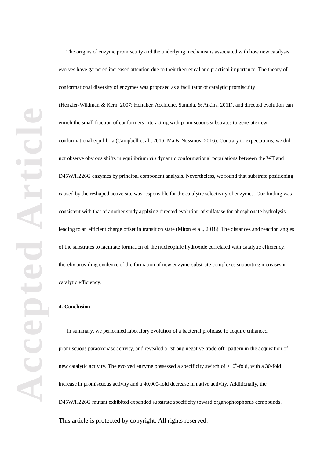The origins of enzyme promiscuity and the underlying mechanisms associated with how new catalysis evolves have garnered increased attention due to their theoretical and practical importance. The theory of conformational diversity of enzymes was proposed as a facilitator of catalytic promiscuity (Henzler-Wildman & Kern, 2007; Honaker, Acchione, Sumida, & Atkins, 2011), and directed evolution can enrich the small fraction of conformers interacting with promiscuous substrates to generate new conformational equilibria (Campbell et al., 2016; Ma & Nussinov, 2016). Contrary to expectations, we did not observe obvious shifts in equilibrium *via* dynamic conformational populations between the WT and D45W/H226G enzymes by principal component analysis. Nevertheless, we found that substrate positioning caused by the reshaped active site was responsible for the catalytic selectivity of enzymes. Our finding was consistent with that of another study applying directed evolution of sulfatase for phosphonate hydrolysis leading to an efficient charge offset in transition state (Miton et al., 2018). The distances and reaction angles of the substrates to facilitate formation of the nucleophile hydroxide correlated with catalytic efficiency, thereby providing evidence of the formation of new enzyme-substrate complexes supporting increases in catalytic efficiency.

# **4. Conclusion**

In summary, we performed laboratory evolution of a bacterial prolidase to acquire enhanced promiscuous paraoxonase activity, and revealed a "strong negative trade-off" pattern in the acquisition of new catalytic activity. The evolved enzyme possessed a specificity switch of  $>10^6$ -fold, with a 30-fold increase in promiscuous activity and a 40,000-fold decrease in native activity. Additionally, the D45W/H226G mutant exhibited expanded substrate specificity toward organophosphorus compounds. This article is protected by copyright. All rights reserved.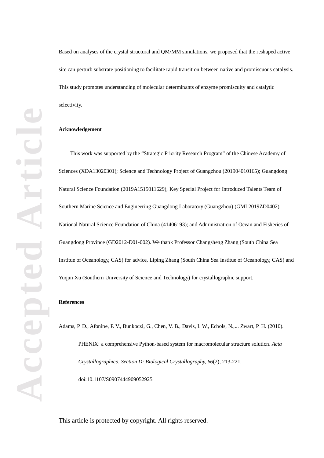Based on analyses of the crystal structural and QM/MM simulations, we proposed that the reshaped active site can perturb substrate positioning to facilitate rapid transition between native and promiscuous catalysis. This study promotes understanding of molecular determinants of enzyme promiscuity and catalytic selectivity.

#### **Acknowledgement**

This work was supported by the "Strategic Priority Research Program" of the Chinese Academy of Sciences (XDA13020301); Science and Technology Project of Guangzhou (201904010165); Guangdong Natural Science Foundation (2019A1515011629); Key Special Project for Introduced Talents Team of Southern Marine Science and Engineering Guangdong Laboratory (Guangzhou) (GML2019ZD0402), National Natural Science Foundation of China (41406193); and Administration of Ocean and Fisheries of Guangdong Province (GD2012-D01-002). We thank Professor Changsheng Zhang (South China Sea Institue of Oceanology, CAS) for advice, Liping Zhang (South China Sea Institue of Oceanology, CAS) and Yuqun Xu (Southern University of Science and Technology) for crystallographic support.

# **References**

Adams, P. D., Afonine, P. V., Bunkoczi, G., Chen, V. B., Davis, I. W., Echols, N.,... Zwart, P. H. (2010). PHENIX: a comprehensive Python-based system for macromolecular structure solution. *Acta Crystallographica. Section D: Biological Crystallography, 66*(2), 213-221. doi:10.1107/S0907444909052925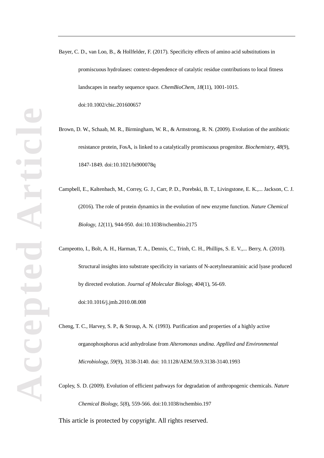Bayer, C. D., van Loo, B., & Hollfelder, F. (2017). Specificity effects of amino acid substitutions in promiscuous hydrolases: context-dependence of catalytic residue contributions to local fitness landscapes in nearby sequence space. *ChemBioChem, 18*(11), 1001-1015. doi:10.1002/cbic.201600657

Brown, D. W., Schaab, M. R., Birmingham, W. R., & Armstrong, R. N. (2009). Evolution of the antibiotic resistance protein, FosA, is linked to a catalytically promiscuous progenitor. *Biochemistry, 48*(9), 1847-1849. doi:10.1021/bi900078q

Campbell, E., Kaltenbach, M., Correy, G. J., Carr, P. D., Porebski, B. T., Livingstone, E. K.,... Jackson, C. J. (2016). The role of protein dynamics in the evolution of new enzyme function. *Nature Chemical Biology, 12*(11), 944-950. doi:10.1038/nchembio.2175

Campeotto, I., Bolt, A. H., Harman, T. A., Dennis, C., Trinh, C. H., Phillips, S. E. V.,... Berry, A. (2010). Structural insights into substrate specificity in variants of N-acetylneuraminic acid lyase produced by directed evolution. *Journal of Molecular Biology, 404*(1), 56-69. doi:10.1016/j.jmb.2010.08.008

Cheng, T. C., Harvey, S. P., & Stroup, A. N. (1993). Purification and properties of a highly active organophosphorus acid anhydrolase from *Alteromonas undina*. *Appllied and Environmental Microbiology, 59*(9), 3138-3140. doi: 10.1128/AEM.59.9.3138-3140.1993

Copley, S. D. (2009). Evolution of efficient pathways for degradation of anthropogenic chemicals. *Nature Chemical Biology, 5*(8), 559-566. doi:10.1038/nchembio.197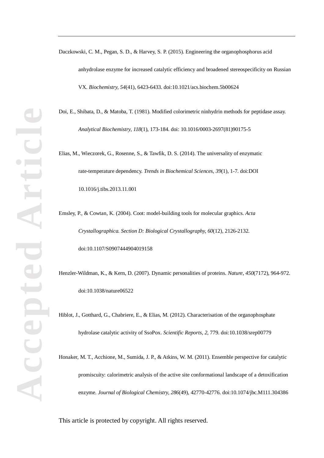Daczkowski, C. M., Pegan, S. D., & Harvey, S. P. (2015). Engineering the organophosphorus acid anhydrolase enzyme for increased catalytic efficiency and broadened stereospecificity on Russian VX. *Biochemistry, 54*(41), 6423-6433. doi:10.1021/acs.biochem.5b00624

Doi, E., Shibata, D., & Matoba, T. (1981). Modified colorimetric ninhydrin methods for peptidase assay. *Analytical Biochemistry, 118*(1), 173-184. doi: 10.1016/0003-2697(81)90175-5

Elias, M., Wieczorek, G., Rosenne, S., & Tawfik, D. S. (2014). The universality of enzymatic rate-temperature dependency. *Trends in Biochemical Sciences, 39*(1), 1-7. doi:DOI 10.1016/j.tibs.2013.11.001

Emsley, P., & Cowtan, K. (2004). Coot: model-building tools for molecular graphics. *Acta Crystallographica. Section D: Biological Crystallography, 60*(12), 2126-2132. doi:10.1107/S0907444904019158

Henzler-Wildman, K., & Kern, D. (2007). Dynamic personalities of proteins. *Nature, 450*(7172), 964-972. doi:10.1038/nature06522

Hiblot, J., Gotthard, G., Chabriere, E., & Elias, M. (2012). Characterisation of the organophosphate hydrolase catalytic activity of SsoPox. *Scientific Reports, 2*, 779. doi:10.1038/srep00779

Honaker, M. T., Acchione, M., Sumida, J. P., & Atkins, W. M. (2011). Ensemble perspective for catalytic promiscuity: calorimetric analysis of the active site conformational landscape of a detoxification enzyme. *Journal of Biological Chemistry, 286*(49), 42770-42776. doi:10.1074/jbc.M111.304386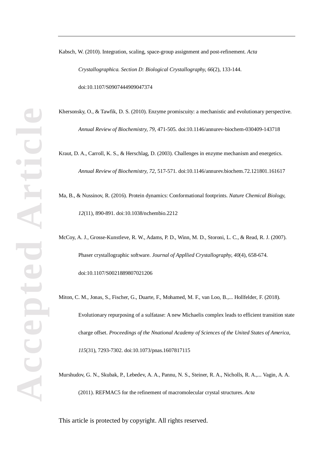Kabsch, W. (2010). Integration, scaling, space-group assignment and post-refinement. *Acta Crystallographica. Section D: Biological Crystallography, 66*(2), 133-144. doi:10.1107/S0907444909047374

Khersonsky, O., & Tawfik, D. S. (2010). Enzyme promiscuity: a mechanistic and evolutionary perspective. *Annual Review of Biochemistry, 79*, 471-505. doi:10.1146/annurev-biochem-030409-143718

Kraut, D. A., Carroll, K. S., & Herschlag, D. (2003). Challenges in enzyme mechanism and energetics. *Annual Review of Biochemistry, 72*, 517-571. doi:10.1146/annurev.biochem.72.121801.161617

Ma, B., & Nussinov, R. (2016). Protein dynamics: Conformational footprints. *Nature Chemical Biology, 12*(11), 890-891. doi:10.1038/nchembio.2212

McCoy, A. J., Grosse-Kunstleve, R. W., Adams, P. D., Winn, M. D., Storoni, L. C., & Read, R. J. (2007). Phaser crystallographic software. *Journal of Appllied Crystallography, 40*(4), 658-674. doi:10.1107/S0021889807021206

Miton, C. M., Jonas, S., Fischer, G., Duarte, F., Mohamed, M. F., van Loo, B.,... Hollfelder, F. (2018). Evolutionary repurposing of a sulfatase: A new Michaelis complex leads to efficient transition state charge offset. *Proceedings of the Nnational Academy of Sciences of the United States of America, 115*(31), 7293-7302. doi:10.1073/pnas.1607817115

Murshudov, G. N., Skubak, P., Lebedev, A. A., Pannu, N. S., Steiner, R. A., Nicholls, R. A.,... Vagin, A. A. (2011). REFMAC5 for the refinement of macromolecular crystal structures. *Acta*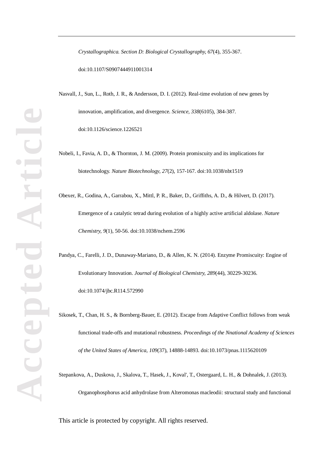*Crystallographica. Section D: Biological Crystallography, 67*(4), 355-367. doi:10.1107/S0907444911001314

Nasvall, J., Sun, L., Roth, J. R., & Andersson, D. I. (2012). Real-time evolution of new genes by innovation, amplification, and divergence. *Science, 338*(6105), 384-387. doi:10.1126/science.1226521

Nobeli, I., Favia, A. D., & Thornton, J. M. (2009). Protein promiscuity and its implications for biotechnology. *Nature Biotechnology, 27*(2), 157-167. doi:10.1038/nbt1519

Obexer, R., Godina, A., Garrabou, X., Mittl, P. R., Baker, D., Griffiths, A. D., & Hilvert, D. (2017). Emergence of a catalytic tetrad during evolution of a highly active artificial aldolase. *Nature Chemistry, 9*(1), 50-56. doi:10.1038/nchem.2596

Pandya, C., Farelli, J. D., Dunaway-Mariano, D., & Allen, K. N. (2014). Enzyme Promiscuity: Engine of Evolutionary Innovation. *Journal of Biological Chemistry, 289*(44), 30229-30236. doi:10.1074/jbc.R114.572990

Sikosek, T., Chan, H. S., & Bornberg-Bauer, E. (2012). Escape from Adaptive Conflict follows from weak functional trade-offs and mutational robustness. *Proceedings of the Nnational Academy of Sciences of the United States of America, 109*(37), 14888-14893. doi:10.1073/pnas.1115620109

Stepankova, A., Duskova, J., Skalova, T., Hasek, J., Koval', T., Ostergaard, L. H., & Dohnalek, J. (2013).

Organophosphorus acid anhydrolase from Alteromonas macleodii: structural study and functional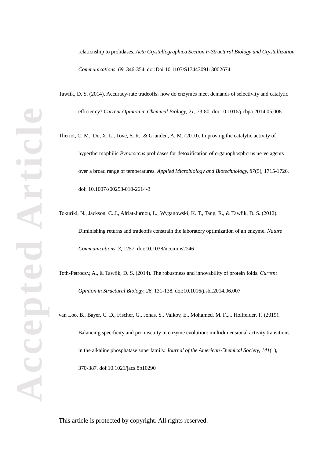relationship to prolidases. *Acta Crystallographica Section F-Structural Biology and Crystallization Communications, 69*, 346-354. doi:Doi 10.1107/S1744309113002674

Tawfik, D. S. (2014). Accuracy-rate tradeoffs: how do enzymes meet demands of selectivity and catalytic efficiency? *Current Opinion in Chemical Biology, 21*, 73-80. doi:10.1016/j.cbpa.2014.05.008

Theriot, C. M., Du, X. L., Tove, S. R., & Grunden, A. M. (2010). Improving the catalytic activity of hyperthermophilic *Pyrococcus* prolidases for detoxification of organophosphorus nerve agents over a broad range of temperatures. *Applied Microbiology and Biotechnology, 87*(5), 1715-1726. doi: 10.1007/s00253-010-2614-3

Tokuriki, N., Jackson, C. J., Afriat-Jurnou, L., Wyganowski, K. T., Tang, R., & Tawfik, D. S. (2012). Diminishing returns and tradeoffs constrain the laboratory optimization of an enzyme. *Nature Communications, 3*, 1257. doi:10.1038/ncomms2246

Toth-Petroczy, A., & Tawfik, D. S. (2014). The robustness and innovability of protein folds. *Current Opinion in Structural Biology, 26*, 131-138. doi:10.1016/j.sbi.2014.06.007

van Loo, B., Bayer, C. D., Fischer, G., Jonas, S., Valkov, E., Mohamed, M. F.,... Hollfelder, F. (2019). Balancing specificity and promiscuity in enzyme evolution: multidimensional activity transitions in the alkaline phosphatase superfamily. *Journal of the American Chemical Society, 141*(1), 370-387. doi:10.1021/jacs.8b10290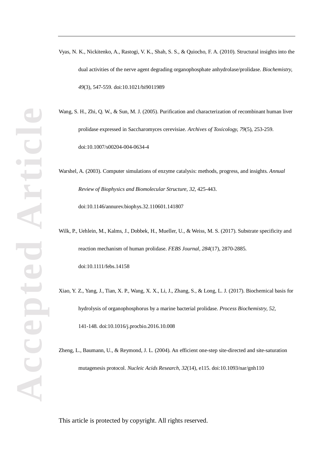- Vyas, N. K., Nickitenko, A., Rastogi, V. K., Shah, S. S., & Quiocho, F. A. (2010). Structural insights into the dual activities of the nerve agent degrading organophosphate anhydrolase/prolidase. *Biochemistry, 49*(3), 547-559. doi:10.1021/bi9011989
- Wang, S. H., Zhi, Q. W., & Sun, M. J. (2005). Purification and characterization of recombinant human liver prolidase expressed in Saccharomyces cerevisiae. *Archives of Toxicology, 79*(5), 253-259. doi:10.1007/s00204-004-0634-4
- Warshel, A. (2003). Computer simulations of enzyme catalysis: methods, progress, and insights. *Annual Review of Biophysics and Biomolecular Structure, 32*, 425-443.
	- doi:10.1146/annurev.biophys.32.110601.141807
- Wilk, P., Uehlein, M., Kalms, J., Dobbek, H., Mueller, U., & Weiss, M. S. (2017). Substrate specificity and reaction mechanism of human prolidase. *FEBS Journal, 284*(17), 2870-2885. doi:10.1111/febs.14158
- Xiao, Y. Z., Yang, J., Tian, X. P., Wang, X. X., Li, J., Zhang, S., & Long, L. J. (2017). Biochemical basis for hydrolysis of organophosphorus by a marine bacterial prolidase. *Process Biochemistry, 52*, 141-148. doi:10.1016/j.procbio.2016.10.008
- Zheng, L., Baumann, U., & Reymond, J. L. (2004). An efficient one-step site-directed and site-saturation mutagenesis protocol. *Nucleic Acids Research, 32*(14), e115. doi:10.1093/nar/gnh110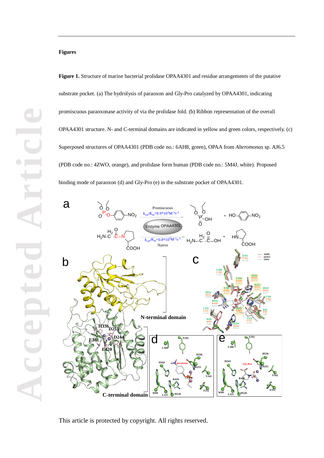

Promiscuous

 $k = 0.9*10<sup>3</sup>M<sup>-1</sup>s<sup>-1</sup>$ 

Native

 $\frac{1}{(6.8 \times 10^5 M^{-1} s^{-1})}$ 

Enzyme OPAA4301

P O O

 $HO\preccurlyeq\preccurlyeq\succ\mathsf{NO}_2$ 

COOH

**6AH8 4ZWO 5M4J**

**Y292 Y292 W326**

HN

O OH

 $H<sub>2</sub>$  $H_2N$   $-$  C  $C$ 

O

OH

**N-terminal domain C-terminal domain** H336<sub>D255</sub> **D2 E420 E381**  $b \sim 10$  $d_{d}$   $\lambda^{x_{292}}$ **H336 D255 V342 F212 R418 H226 L225 W89 L366 H343 paraoxon Y292 H336 D255 V342 F212 R418 H226 L225 W89 L366 H343 Gly-Pro** e **D244 D244 D276 E381 E381 E412 L366 L366 L397 E420 E420 E452 H336 H336 D255 D255 D287 H343 H343 V342 V342 V376 D45 D45 D60 Y212 F212 Y241 W89 W89 S103 H226 H226 H255 L225 L225 L254 R418 R418 R450 H332 H332 H366**

This article is protected by copyright. All rights reserved.

**Figures**

a

 $H<sub>2</sub>$ C C O N

 $P_{O}$   $\rightarrow$  NO<sub>2</sub>

 $H_2N$ 

O  $\mathsf{o}$ ്

COOH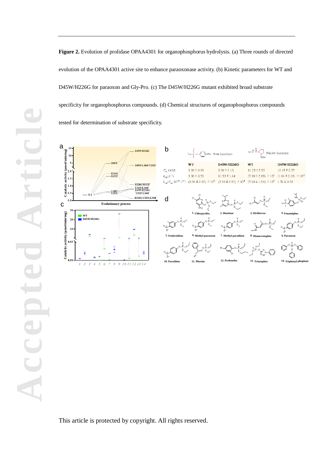**Figure 2.** Evolution of prolidase OPAA4301 for organophosphorus hydrolysis. (a) Three rounds of directed evolution of the OPAA4301 active site to enhance paraoxonase activity. (b) Kinetic parameters for WT and D45W/H226G for paraoxon and Gly-Pro. (c) The D45W/H226G mutant exhibited broad substrate specificity for organophosphorus compounds. (d) Chemical structures of organophosphorus compounds tested for determination of substrate specificity.



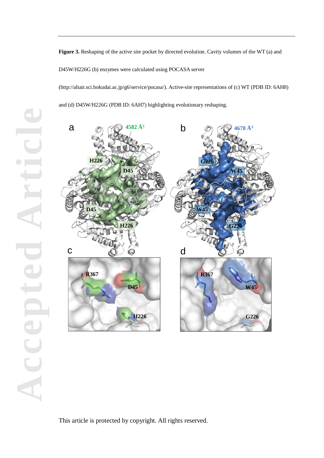**Figure 3.** Reshaping of the active site pocket by directed evolution. Cavity volumes of the WT (a) and D45W/H226G (b) enzymes were calculated using POCASA server

(http://altair.sci.hokudai.ac.jp/g6/service/pocasa/). Active-site representations of (c) WT (PDB ID: 6AH8)

and (d) D45W/H226G (PDB ID: 6AH7) highlighting evolutionary reshaping.